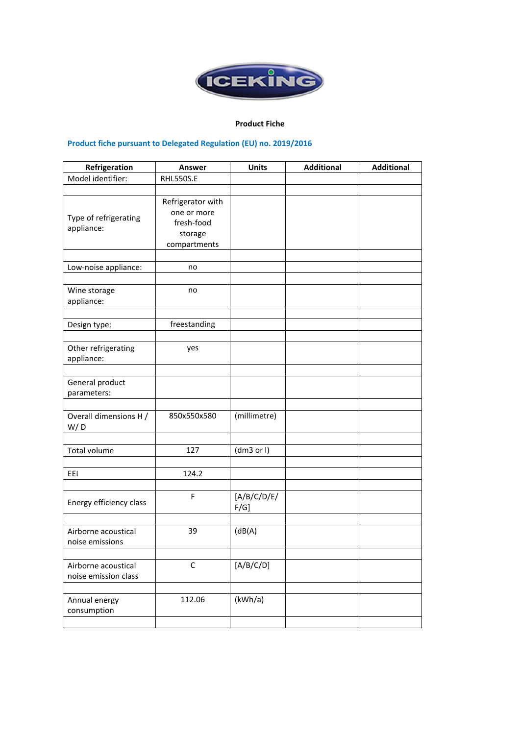

## **Product Fiche**

## **Product fiche pursuant to Delegated Regulation (EU) no. 2019/2016**

| Refrigeration                               | Answer                                                                    | <b>Units</b>           | <b>Additional</b> | <b>Additional</b> |
|---------------------------------------------|---------------------------------------------------------------------------|------------------------|-------------------|-------------------|
| Model identifier:                           | <b>RHL550S.E</b>                                                          |                        |                   |                   |
|                                             |                                                                           |                        |                   |                   |
| Type of refrigerating<br>appliance:         | Refrigerator with<br>one or more<br>fresh-food<br>storage<br>compartments |                        |                   |                   |
|                                             |                                                                           |                        |                   |                   |
| Low-noise appliance:                        | no                                                                        |                        |                   |                   |
|                                             |                                                                           |                        |                   |                   |
| Wine storage<br>appliance:                  | no                                                                        |                        |                   |                   |
|                                             |                                                                           |                        |                   |                   |
| Design type:                                | freestanding                                                              |                        |                   |                   |
|                                             |                                                                           |                        |                   |                   |
| Other refrigerating<br>appliance:           | yes                                                                       |                        |                   |                   |
|                                             |                                                                           |                        |                   |                   |
| General product<br>parameters:              |                                                                           |                        |                   |                   |
|                                             |                                                                           |                        |                   |                   |
| Overall dimensions H /<br>W/D               | 850x550x580                                                               | (millimetre)           |                   |                   |
|                                             |                                                                           |                        |                   |                   |
| <b>Total volume</b>                         | 127                                                                       | (dm3 or l)             |                   |                   |
|                                             |                                                                           |                        |                   |                   |
| EEI                                         | 124.2                                                                     |                        |                   |                   |
|                                             |                                                                           |                        |                   |                   |
| Energy efficiency class                     | F                                                                         | [A/B/C/D/E/<br>$F/G$ ] |                   |                   |
|                                             |                                                                           |                        |                   |                   |
| Airborne acoustical<br>noise emissions      | 39                                                                        | (dB(A))                |                   |                   |
|                                             |                                                                           |                        |                   |                   |
| Airborne acoustical<br>noise emission class | C                                                                         | [A/B/C/D]              |                   |                   |
|                                             |                                                                           |                        |                   |                   |
| Annual energy<br>consumption                | 112.06                                                                    | (kWh/a)                |                   |                   |
|                                             |                                                                           |                        |                   |                   |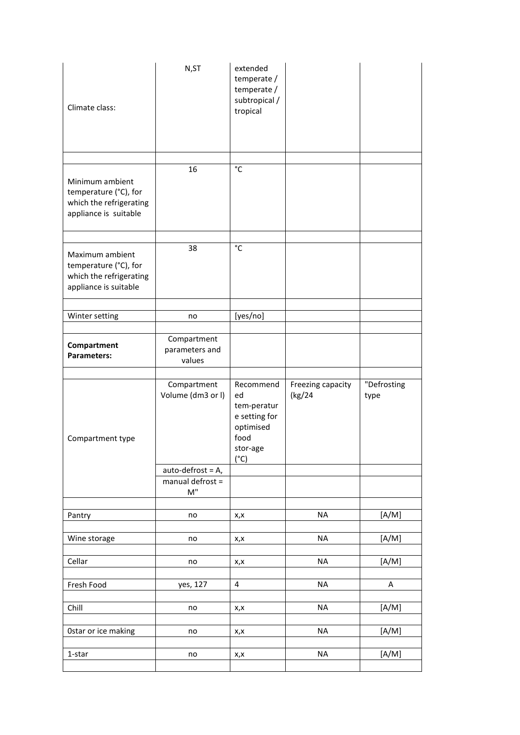| Climate class:                                                                               | N,ST                                    | extended<br>temperate /<br>temperate /<br>subtropical /<br>tropical                               |                             |                     |
|----------------------------------------------------------------------------------------------|-----------------------------------------|---------------------------------------------------------------------------------------------------|-----------------------------|---------------------|
|                                                                                              |                                         |                                                                                                   |                             |                     |
| Minimum ambient<br>temperature (°C), for<br>which the refrigerating<br>appliance is suitable | 16                                      | $\rm ^{\circ}C$                                                                                   |                             |                     |
|                                                                                              |                                         | $^{\circ}{\rm C}$                                                                                 |                             |                     |
| Maximum ambient<br>temperature (°C), for<br>which the refrigerating<br>appliance is suitable | 38                                      |                                                                                                   |                             |                     |
|                                                                                              |                                         |                                                                                                   |                             |                     |
| Winter setting                                                                               | no                                      | [yes/no]                                                                                          |                             |                     |
| Compartment<br>Parameters:                                                                   | Compartment<br>parameters and<br>values |                                                                                                   |                             |                     |
|                                                                                              |                                         |                                                                                                   |                             |                     |
| Compartment type                                                                             | Compartment<br>Volume (dm3 or I)        | Recommend<br>ed<br>tem-peratur<br>e setting for<br>optimised<br>food<br>stor-age<br>$(^{\circ}C)$ | Freezing capacity<br>(kg/24 | "Defrosting<br>type |
|                                                                                              | $auto-defrost = A,$                     |                                                                                                   |                             |                     |
|                                                                                              | manual defrost =<br>M"                  |                                                                                                   |                             |                     |
|                                                                                              |                                         |                                                                                                   |                             |                     |
| Pantry                                                                                       | no                                      | x,x                                                                                               | <b>NA</b>                   | [A/M]               |
| Wine storage                                                                                 | no                                      | x,x                                                                                               | <b>NA</b>                   | [A/M]               |
| Cellar                                                                                       | no                                      | x,x                                                                                               | <b>NA</b>                   | [A/M]               |
|                                                                                              |                                         |                                                                                                   |                             |                     |
| Fresh Food                                                                                   | yes, 127                                | $\overline{4}$                                                                                    | <b>NA</b>                   | A                   |
|                                                                                              |                                         |                                                                                                   |                             |                     |
| Chill                                                                                        | no                                      | x,x                                                                                               | <b>NA</b>                   | [A/M]               |
| Ostar or ice making                                                                          | no                                      | x,x                                                                                               | <b>NA</b>                   | [A/M]               |
| 1-star                                                                                       | no                                      | x,x                                                                                               | NA                          | [A/M]               |